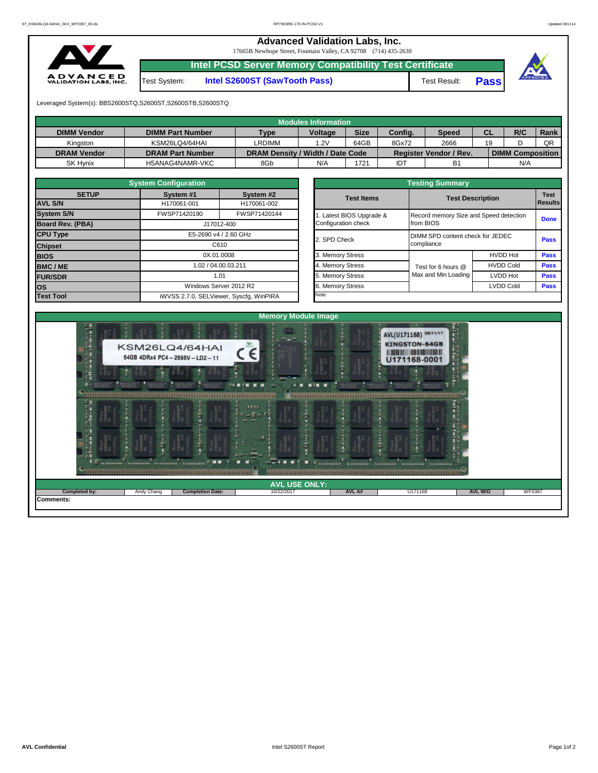## **Advanced Validation Labs, Inc.**

17665B Newhope Street, Fountain Valley, CA 92708 (714) 435-2630 **Intel PCSD Server Memory Compatibility Test Certificate**



Test System: **Intel S2600ST (SawTooth Pass)** Test Result: **Pass**



Leveraged System(s): BBS2600STQ,S2600ST,S2600STB,S2600STQ

| <b>Modules Information</b> |                         |                                  |                |             |         |                               |           |                         |      |  |  |  |  |
|----------------------------|-------------------------|----------------------------------|----------------|-------------|---------|-------------------------------|-----------|-------------------------|------|--|--|--|--|
| <b>DIMM Vendor</b>         | <b>DIMM Part Number</b> | <b>Type</b>                      | <b>Voltage</b> | <b>Size</b> | Config. | <b>Speed</b>                  | <b>CL</b> | R/C                     | Rank |  |  |  |  |
| Kinaston                   | KSM26LQ4/64HAI          | LRDIMM                           | 1.2V           | 64GB        | 8Gx72   | 2666                          | 19        |                         | QR   |  |  |  |  |
| <b>DRAM Vendor</b>         | <b>DRAM Part Number</b> | DRAM Density / Width / Date Code |                |             |         | <b>Register Vendor / Rev.</b> |           | <b>DIMM Composition</b> |      |  |  |  |  |
| SK Hynix                   | H5ANAG4NAMR-VKC         | 8Gb                              | N/A            | '721        | IDT     | <b>B1</b>                     |           | N/A                     |      |  |  |  |  |

|                                | <b>System Configuration</b>             |                          |  | <b>Testing Summary</b> |                                  |                                                                   |             |  |  |  |  |  |
|--------------------------------|-----------------------------------------|--------------------------|--|------------------------|----------------------------------|-------------------------------------------------------------------|-------------|--|--|--|--|--|
| <b>SETUP</b><br><b>AVL S/N</b> | System #1<br>H170061-001                | System #2<br>H170061-002 |  | <b>Test Items</b>      |                                  | <b>Test Description</b><br>Record memory Size and Speed detection |             |  |  |  |  |  |
| <b>System S/N</b>              | FWSP71420190                            | FWSP71420144             |  | Latest BIOS Upgrade &  |                                  |                                                                   |             |  |  |  |  |  |
| Board Rev. (PBA)               | J17012-400                              |                          |  | Configuration check    | from BIOS                        |                                                                   |             |  |  |  |  |  |
| <b>CPU Type</b>                | E5-2690 v4 / 2.60 GHz                   |                          |  | 2. SPD Check           | DIMM SPD content check for JEDEC |                                                                   |             |  |  |  |  |  |
| <b>Chipset</b>                 |                                         | C610                     |  |                        | compliance                       | <b>Pass</b>                                                       |             |  |  |  |  |  |
| <b>BIOS</b>                    | 0X.01.0008                              |                          |  | 3. Memory Stress       |                                  | <b>HVDD Hot</b>                                                   | <b>Pass</b> |  |  |  |  |  |
| <b>BMC/ME</b>                  | 1.02 / 04.00.03.211                     |                          |  | 4. Memory Stress       | Test for 6 hours @               | <b>HVDD Cold</b>                                                  | <b>Pass</b> |  |  |  |  |  |
| <b>FUR/SDR</b>                 | 1.01<br>Windows Server 2012 R2          |                          |  | 5. Memory Stress       | Max and Min Loading              | <b>LVDD Hot</b>                                                   | <b>Pass</b> |  |  |  |  |  |
| <b>los</b>                     |                                         |                          |  | 6. Memory Stress       |                                  | <b>Pass</b>                                                       |             |  |  |  |  |  |
| <b>Test Tool</b>               | iWVSS 2.7.0, SELViewer, Syscfq, WinPIRA |                          |  | Note:                  |                                  |                                                                   |             |  |  |  |  |  |